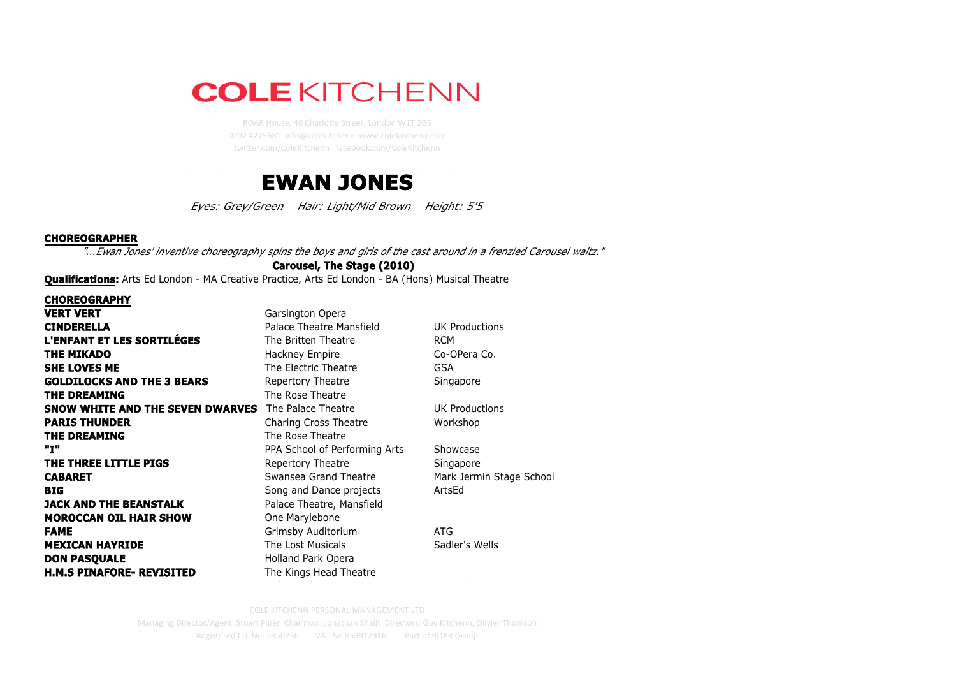# **COLE KITCHENN**

twitter.com/ColeKitchenn facebook.com/ColeKitchenn

## **EWAN JONES**

*Eyes: Grey/Green Hair: Light/Mid Brown Height: 5'5*

#### **CHOREOGRAPHER**

*"...Ewan Jones' inventive choreography spins the boys and girls of the cast around in a frenzied Carousel waltz."*

#### **Carousel, The Stage (2010)**

**Qualifications:** Arts Ed London - MA Creative Practice, Arts Ed London - BA (Hons) Musical Theatre

### **CHOREOGRAPHY**

| <b>VERT VERT</b>                  | Garsington Opera              |                          |
|-----------------------------------|-------------------------------|--------------------------|
| <b>CINDERELLA</b>                 | Palace Theatre Mansfield      | UK Productions           |
| <b>L'ENFANT ET LES SORTILÉGES</b> | The Britten Theatre           | <b>RCM</b>               |
| <b>THE MIKADO</b>                 | Hackney Empire                | Co-OPera Co.             |
| <b>SHE LOVES ME</b>               | The Electric Theatre          | <b>GSA</b>               |
| <b>GOLDILOCKS AND THE 3 BEARS</b> | Repertory Theatre             | Singapore                |
| <b>THE DREAMING</b>               | The Rose Theatre              |                          |
| SNOW WHITE AND THE SEVEN DWARVES  | The Palace Theatre            | UK Productions           |
| <b>PARIS THUNDER</b>              | Charing Cross Theatre         | Workshop                 |
| <b>THE DREAMING</b>               | The Rose Theatre              |                          |
| "I"                               | PPA School of Performing Arts | Showcase                 |
| THE THREE LITTLE PIGS             | Repertory Theatre             | Singapore                |
| <b>CABARET</b>                    | Swansea Grand Theatre         | Mark Jermin Stage School |
| <b>BIG</b>                        | Song and Dance projects       | ArtsEd                   |
| <b>JACK AND THE BEANSTALK</b>     | Palace Theatre, Mansfield     |                          |
| <b>MOROCCAN OIL HAIR SHOW</b>     | One Marylebone                |                          |
| <b>FAME</b>                       | Grimsby Auditorium            | ATG                      |
| <b>MEXICAN HAYRIDE</b>            | The Lost Musicals             | Sadler's Wells           |
| <b>DON PASQUALE</b>               | Holland Park Opera            |                          |
| <b>H.M.S PINAFORE- REVISITED</b>  | The Kings Head Theatre        |                          |

COLE KITCHENN PERSONAL MANAGEMENT LTD

Managing Director/Agent: Stuart Piper *Chairman: Jonathan Shalit Directors: Guy Kitchenn, Olivier Thomson* Registered Co. No: 5350236 VAT No 853912316 Part of ROAR Group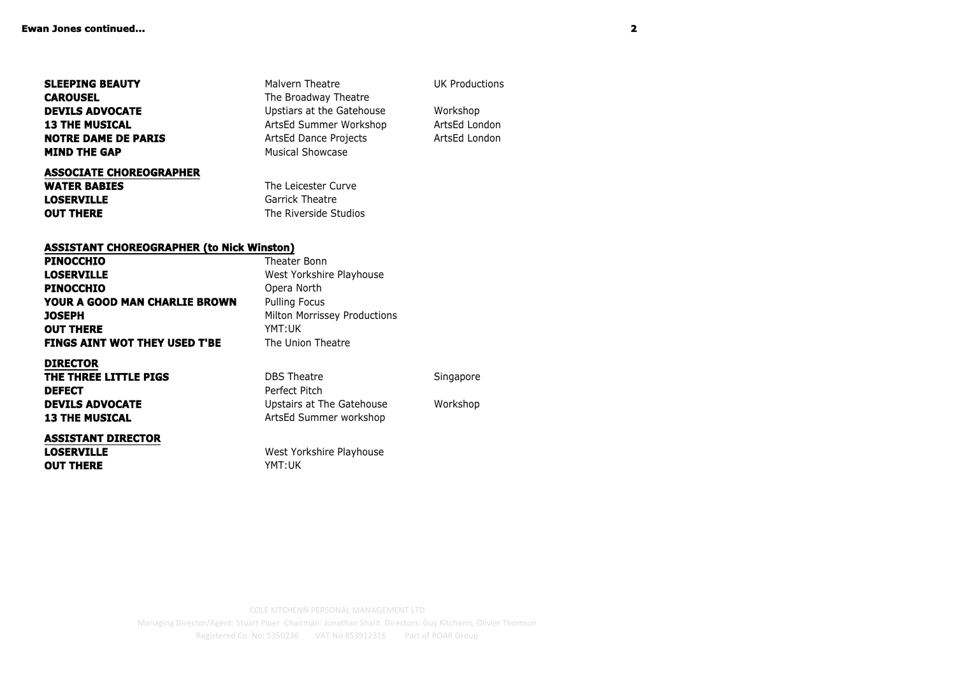| <b>SLEEPING BEAUTY</b><br><b>CAROUSEL</b><br><b>DEVILS ADVOCATE</b><br><b>13 THE MUSICAL</b><br><b>NOTRE DAME DE PARIS</b><br><b>MIND THE GAP</b> | Malvern Theatre<br>The Broadway Theatre<br>Upstiars at the Gatehouse<br>ArtsEd Summer Workshop<br>ArtsEd Dance Projects<br>Musical Showcase | UK Productions<br>Workshop<br>ArtsEd London<br>ArtsEd London |
|---------------------------------------------------------------------------------------------------------------------------------------------------|---------------------------------------------------------------------------------------------------------------------------------------------|--------------------------------------------------------------|
| <b>ASSOCIATE CHOREOGRAPHER</b><br><b>WATER BABIES</b><br><b>LOSERVILLE</b><br><b>OUT THERE</b>                                                    | The Leicester Curve<br>Garrick Theatre<br>The Riverside Studios                                                                             |                                                              |

#### **ASSISTANT CHOREOGRAPHER (to Nick Winston)**

**OUT THERE** YMT:UK

| <b>PINOCCHIO</b>                     | Theater Bonn                 |           |
|--------------------------------------|------------------------------|-----------|
| <b>LOSERVILLE</b>                    | West Yorkshire Playhouse     |           |
| <b>PINOCCHIO</b>                     | Opera North                  |           |
| YOUR A GOOD MAN CHARLIE BROWN        | <b>Pulling Focus</b>         |           |
| <b>JOSEPH</b>                        | Milton Morrissey Productions |           |
| <b>OUT THERE</b>                     | YMT:UK                       |           |
| <b>FINGS AINT WOT THEY USED T'BE</b> | The Union Theatre            |           |
| <b>DIRECTOR</b>                      |                              |           |
| THE THREE LITTLE PIGS                | <b>DBS</b> Theatre           | Singapore |
| <b>DEFECT</b>                        | Perfect Pitch                |           |
| <b>DEVILS ADVOCATE</b>               | Upstairs at The Gatehouse    | Workshop  |
| <b>13 THE MUSICAL</b>                | ArtsEd Summer workshop       |           |
| <b>ASSISTANT DIRECTOR</b>            |                              |           |
| <b>LOSERVILLE</b>                    | West Yorkshire Playhouse     |           |

COLE KITCHENN PERSONAL MANAGEMENT LTD

Managing Director/Agent: Stuart Piper Chairman: Jonathan Shalit Directors: Guy Kitchenn, Olivier Thomson Registered Co. No: 5350236 VAT No 853912316 Part of ROAR Group